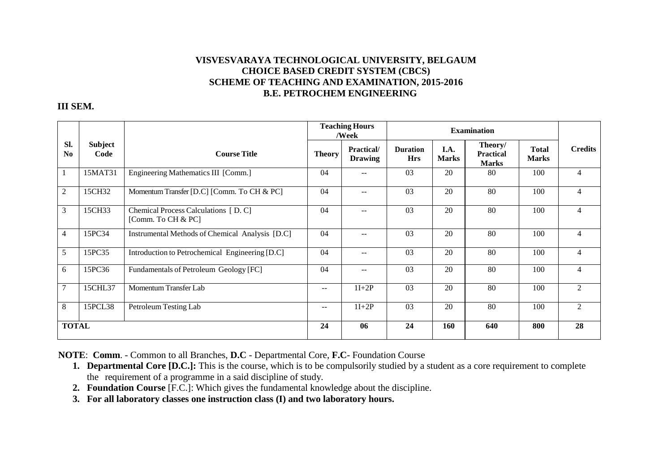## **VISVESVARAYA TECHNOLOGICAL UNIVERSITY, BELGAUM CHOICE BASED CREDIT SYSTEM (CBCS) SCHEME OF TEACHING AND EXAMINATION, 2015-2016B.E. PETROCHEM ENGINEERING**

## **III SEM.**

|                |                        |                                                            | <b>Teaching Hours</b><br>/Week |                              | <b>Examination</b>            |                      |                                             |                              |                |
|----------------|------------------------|------------------------------------------------------------|--------------------------------|------------------------------|-------------------------------|----------------------|---------------------------------------------|------------------------------|----------------|
| SI.<br>No      | <b>Subject</b><br>Code | <b>Course Title</b>                                        | <b>Theory</b>                  | Practical/<br><b>Drawing</b> | <b>Duration</b><br><b>Hrs</b> | I.A.<br><b>Marks</b> | Theory/<br><b>Practical</b><br><b>Marks</b> | <b>Total</b><br><b>Marks</b> | <b>Credits</b> |
|                | 15MAT31                | Engineering Mathematics III [Comm.]                        | 04                             | $- -$                        | 03                            | 20                   | 80                                          | 100                          | $\overline{4}$ |
| $\overline{2}$ | 15CH32                 | Momentum Transfer [D.C] [Comm. To CH & PC]                 | 04                             | $-$                          | 03                            | 20                   | 80                                          | 100                          | $\overline{4}$ |
| 3              | 15CH33                 | Chemical Process Calculations [D. C]<br>[Comm. To CH & PC] | 04                             |                              | 03                            | 20                   | 80                                          | 100                          | 4              |
| $\overline{4}$ | 15PC34                 | Instrumental Methods of Chemical Analysis [D.C]            | 04                             |                              | 03                            | 20                   | 80                                          | 100                          | $\overline{4}$ |
| 5              | 15PC35                 | Introduction to Petrochemical Engineering [D.C]            | 04                             | $\overline{\phantom{a}}$     | 03                            | 20                   | 80                                          | 100                          | $\overline{4}$ |
| 6              | 15PC36                 | Fundamentals of Petroleum Geology [FC]                     | 04                             | $-$                          | 03                            | 20                   | 80                                          | 100                          | $\overline{4}$ |
| $\tau$         | 15CHL37                | Momentum Transfer Lab                                      | $\sim$ $\sim$                  | $1I+2P$                      | 03                            | 20                   | 80                                          | 100                          | $\overline{2}$ |
| 8              | 15PCL38                | Petroleum Testing Lab                                      | $- -$                          | $1I+2P$                      | 03                            | 20                   | 80                                          | 100                          | 2              |
| <b>TOTAL</b>   |                        | 24                                                         | 06                             | 24                           | 160                           | 640                  | 800                                         | 28                           |                |

**NOTE**: **Comm**. - Common to all Branches, **D.C** - Departmental Core, **F.C**- Foundation Course

- **1. Departmental Core [D.C.]:** This is the course, which is to be compulsorily studied by a student as a core requirement to completethe requirement of a programme in a said discipline of study.
- **2. Foundation Course** [F.C.]: Which gives the fundamental knowledge about the discipline.
- **3. For all laboratory classes one instruction class (I) and two laboratory hours.**